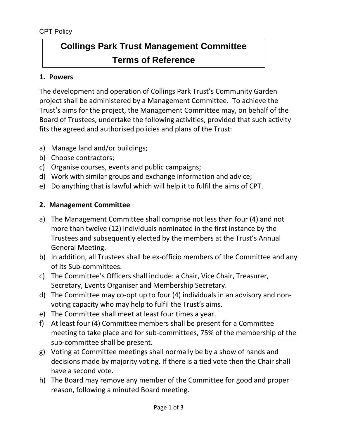# **Collings Park Trust Management Committee Terms of Reference**

## **1. Powers**

The development and operation of Collings Park Trust's Community Garden project shall be administered by a Management Committee. To achieve the Trust's aims for the project, the Management Committee may, on behalf of the Board of Trustees, undertake the following activities, provided that such activity fits the agreed and authorised policies and plans of the Trust:

- a) Manage land and/or buildings;
- b) Choose contractors;
- c) Organise courses, events and public campaigns;
- d) Work with similar groups and exchange information and advice;
- e) Do anything that is lawful which will help it to fulfil the aims of CPT.

# **2. Management Committee**

- a) The Management Committee shall comprise not less than four (4) and not more than twelve (12) individuals nominated in the first instance by the Trustees and subsequently elected by the members at the Trust's Annual General Meeting.
- b) In addition, all Trustees shall be ex-officio members of the Committee and any of its Sub-committees.
- c) The Committee's Officers shall include: a Chair, Vice Chair, Treasurer, Secretary, Events Organiser and Membership Secretary.
- d) The Committee may co-opt up to four (4) individuals in an advisory and nonvoting capacity who may help to fulfil the Trust's aims.
- e) The Committee shall meet at least four times a year.
- f) At least four (4) Committee members shall be present for a Committee meeting to take place and for sub-committees, 75% of the membership of the sub-committee shall be present.
- g) Voting at Committee meetings shall normally be by a show of hands and decisions made by majority voting. If there is a tied vote then the Chair shall have a second vote.
- h) The Board may remove any member of the Committee for good and proper reason, following a minuted Board meeting.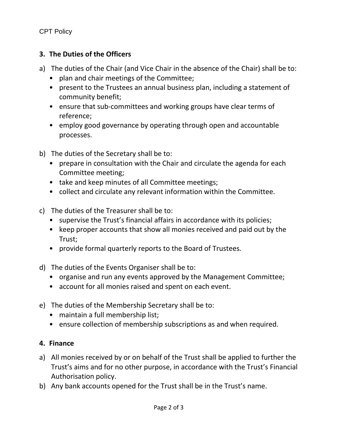# **3. The Duties of the Officers**

- a) The duties of the Chair (and Vice Chair in the absence of the Chair) shall be to:
	- plan and chair meetings of the Committee;
	- present to the Trustees an annual business plan, including a statement of community benefit;
	- ensure that sub-committees and working groups have clear terms of reference;
	- employ good governance by operating through open and accountable processes.
- b) The duties of the Secretary shall be to:
	- prepare in consultation with the Chair and circulate the agenda for each Committee meeting;
	- take and keep minutes of all Committee meetings;
	- collect and circulate any relevant information within the Committee.
- c) The duties of the Treasurer shall be to:
	- supervise the Trust's financial affairs in accordance with its policies;
	- keep proper accounts that show all monies received and paid out by the Trust;
	- provide formal quarterly reports to the Board of Trustees.
- d) The duties of the Events Organiser shall be to:
	- organise and run any events approved by the Management Committee;
	- account for all monies raised and spent on each event.
- e) The duties of the Membership Secretary shall be to:
	- maintain a full membership list;
	- ensure collection of membership subscriptions as and when required.

#### **4. Finance**

- a) All monies received by or on behalf of the Trust shall be applied to further the Trust's aims and for no other purpose, in accordance with the Trust's Financial Authorisation policy.
- b) Any bank accounts opened for the Trust shall be in the Trust's name.